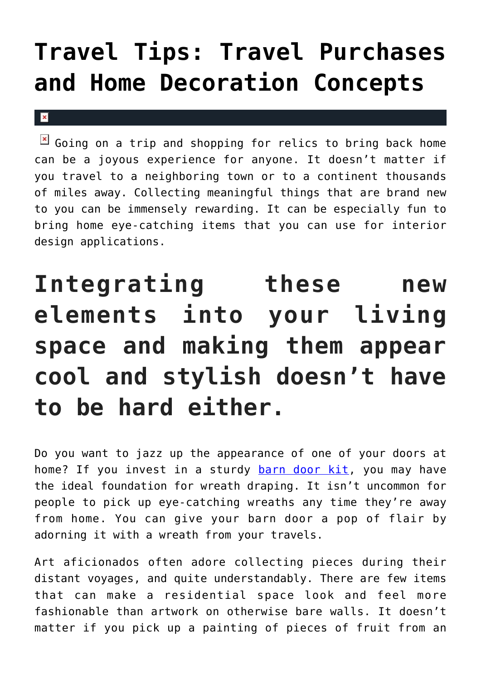## **[Travel Tips: Travel Purchases](https://cupidspulse.com/136486/travel-tips-travel-purchases-home-decoration-concepts/) [and Home Decoration Concepts](https://cupidspulse.com/136486/travel-tips-travel-purchases-home-decoration-concepts/)**

## $\bold{x}$

 $\mathbb{E}$  Going on a trip and shopping for relics to bring back home can be a joyous experience for anyone. It doesn't matter if you travel to a neighboring town or to a continent thousands of miles away. Collecting meaningful things that are brand new to you can be immensely rewarding. It can be especially fun to bring home eye-catching items that you can use for interior design applications.

## **Integrating these new elements into your living space and making them appear cool and stylish doesn't have to be hard either.**

Do you want to jazz up the appearance of one of your doors at home? If you invest in a sturdy [barn door kit,](https://artisanhardware.com/barn-door-kit/) you may have the ideal foundation for wreath draping. It isn't uncommon for people to pick up eye-catching wreaths any time they're away from home. You can give your barn door a pop of flair by adorning it with a wreath from your travels.

Art aficionados often adore collecting pieces during their distant voyages, and quite understandably. There are few items that can make a residential space look and feel more fashionable than artwork on otherwise bare walls. It doesn't matter if you pick up a painting of pieces of fruit from an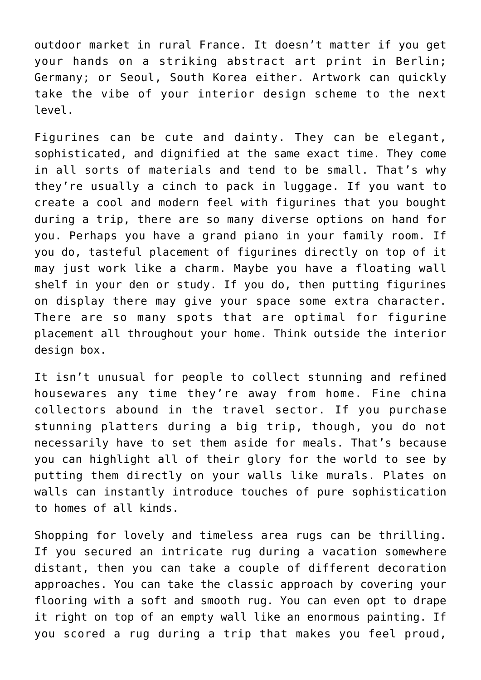outdoor market in rural France. It doesn't matter if you get your hands on a striking abstract art print in Berlin; Germany; or Seoul, South Korea either. Artwork can quickly take the vibe of your interior design scheme to the next level.

Figurines can be cute and dainty. They can be elegant, sophisticated, and dignified at the same exact time. They come in all sorts of materials and tend to be small. That's why they're usually a cinch to pack in luggage. If you want to create a cool and modern feel with figurines that you bought during a trip, there are so many diverse options on hand for you. Perhaps you have a grand piano in your family room. If you do, tasteful placement of figurines directly on top of it may just work like a charm. Maybe you have a floating wall shelf in your den or study. If you do, then putting figurines on display there may give your space some extra character. There are so many spots that are optimal for figurine placement all throughout your home. Think outside the interior design box.

It isn't unusual for people to collect stunning and refined housewares any time they're away from home. Fine china collectors abound in the travel sector. If you purchase stunning platters during a big trip, though, you do not necessarily have to set them aside for meals. That's because you can highlight all of their glory for the world to see by putting them directly on your walls like murals. Plates on walls can instantly introduce touches of pure sophistication to homes of all kinds.

Shopping for lovely and timeless area rugs can be thrilling. If you secured an intricate rug during a vacation somewhere distant, then you can take a couple of different decoration approaches. You can take the classic approach by covering your flooring with a soft and smooth rug. You can even opt to drape it right on top of an empty wall like an enormous painting. If you scored a rug during a trip that makes you feel proud,